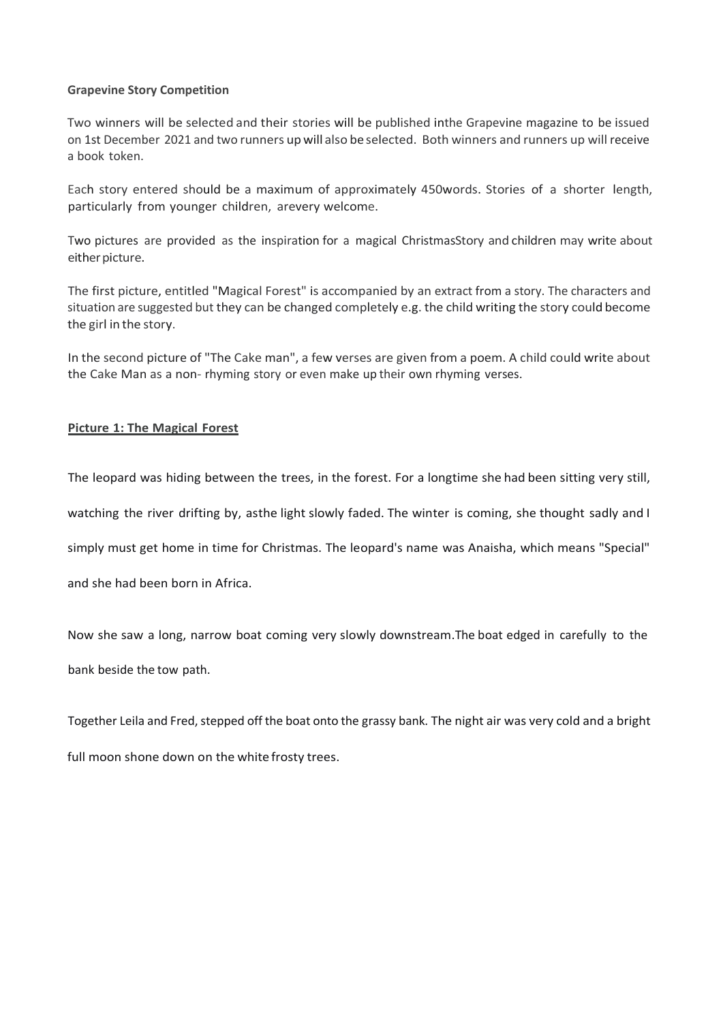## **Grapevine Story Competition**

Two winners will be selected and their stories will be published inthe Grapevine magazine to be issued on 1st December 2021 and two runners upwill also be selected. Both winners and runners up will receive a book token.

Each story entered should be a maximum of approximately 450words. Stories of a shorter length, particularly from younger children, arevery welcome.

Two pictures are provided as the inspiration for a magical ChristmasStory and children may write about either picture.

The first picture, entitled "Magical Forest" is accompanied by an extract from a story. The characters and situation are suggested but they can be changed completely e.g. the child writing the story could become the girl in the story.

In the second picture of "The Cake man", a few verses are given from a poem. A child could write about the Cake Man as a non- rhyming story or even make up their own rhyming verses.

## **Picture 1: The Magical Forest**

The leopard was hiding between the trees, in the forest. For a longtime she had been sitting very still,

watching the river drifting by, asthe light slowly faded. The winter is coming, she thought sadly and I

simply must get home in time for Christmas. The leopard's name was Anaisha, which means "Special"

and she had been born in Africa.

Now she saw a long, narrow boat coming very slowly downstream.The boat edged in carefully to the bank beside the tow path.

Together Leila and Fred, stepped off the boat onto the grassy bank. The night air was very cold and a bright

full moon shone down on the white frosty trees.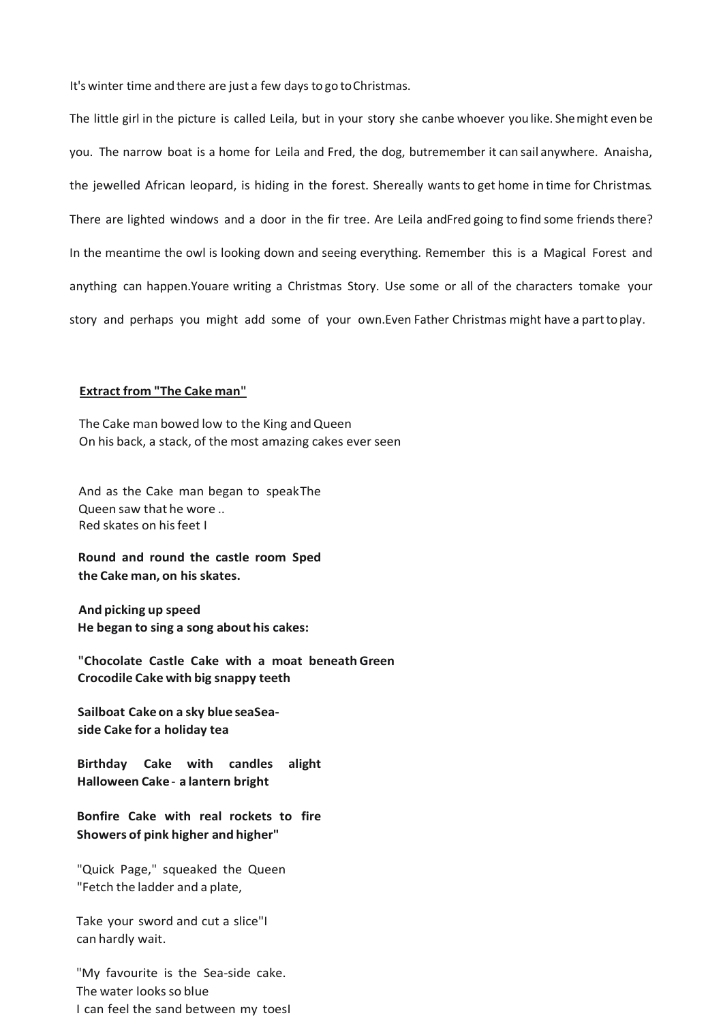It's winter time and there are just a few days to go to Christmas.

The little girl in the picture is called Leila, but in your story she canbe whoever youlike. Shemight even be you. The narrow boat is a home for Leila and Fred, the dog, butremember it can sail anywhere. Anaisha, the jewelled African leopard, is hiding in the forest. Shereally wants to get home in time for Christmas.. There are lighted windows and a door in the fir tree. Are Leila andFred going to find some friends there? In the meantime the owl is looking down and seeing everything. Remember this is a Magical Forest and anything can happen.Youare writing a Christmas Story. Use some or all of the characters tomake your story and perhaps you might add some of your own.Even Father Christmas might have a parttoplay.

## **Extract from "The Cake man"**

The Cake man bowed low to the King and Queen On his back, a stack, of the most amazing cakes ever seen

And as the Cake man began to speakThe Queen saw that he wore .. Red skates on hisfeet I

**Round and round the castle room Sped the Cake man, on his skates.**

**And picking up speed He began to sing a song about his cakes:**

**"Chocolate Castle Cake with a moat beneathGreen Crocodile Cake with big snappy teeth**

**Sailboat Cakeon a sky blue seaSeaside Cake for a holiday tea**

**Birthday Cake with candles alight Halloween Cake**- **a lantern bright**

**Bonfire Cake with real rockets to fire Showers of pink higher and higher"**

"Quick Page," squeaked the Queen "Fetch the ladder and a plate,

Take your sword and cut a slice"I can hardly wait.

"My favourite is the Sea-side cake. The water looks so blue I can feel the sand between my toesI